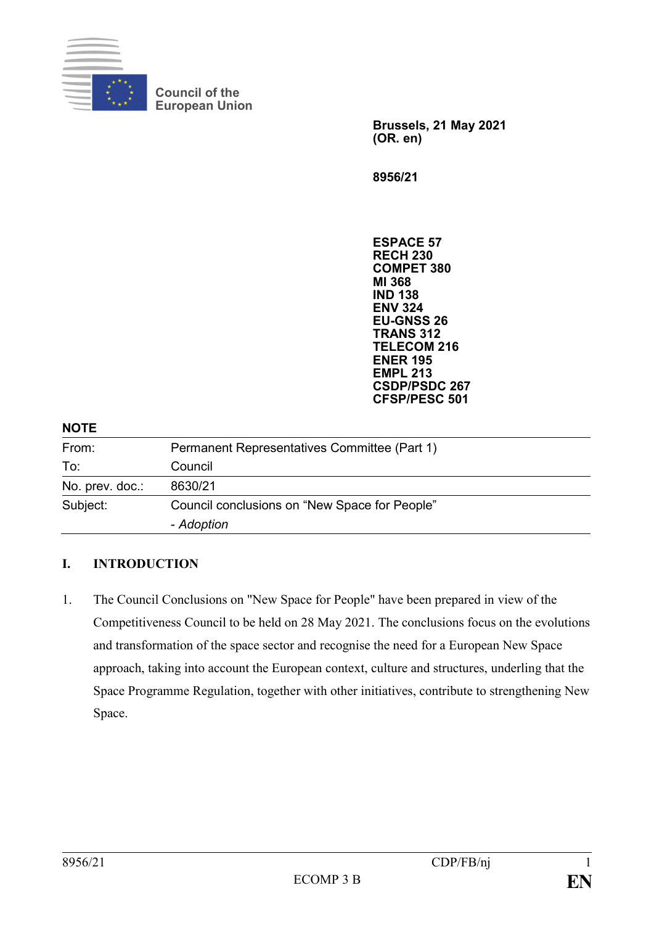

**Council of the European Union**

> **Brussels, 21 May 2021 (OR. en)**

**8956/21**

**ESPACE 57 RECH 230 COMPET 380 MI 368 IND 138 ENV 324 EU-GNSS 26 TRANS 312 TELECOM 216 ENER 195 EMPL 213 CSDP/PSDC 267**

|                 | <b>CSDP/PSDC 267</b><br><b>CFSP/PESC 501</b>  |
|-----------------|-----------------------------------------------|
| <b>NOTE</b>     |                                               |
| From:           | Permanent Representatives Committee (Part 1)  |
| To:             | Council                                       |
| No. prev. doc.: | 8630/21                                       |
| Subject:        | Council conclusions on "New Space for People" |
|                 | - Adoption                                    |

#### **I. INTRODUCTION**

1. The Council Conclusions on "New Space for People" have been prepared in view of the Competitiveness Council to be held on 28 May 2021. The conclusions focus on the evolutions and transformation of the space sector and recognise the need for a European New Space approach, taking into account the European context, culture and structures, underling that the Space Programme Regulation, together with other initiatives, contribute to strengthening New Space.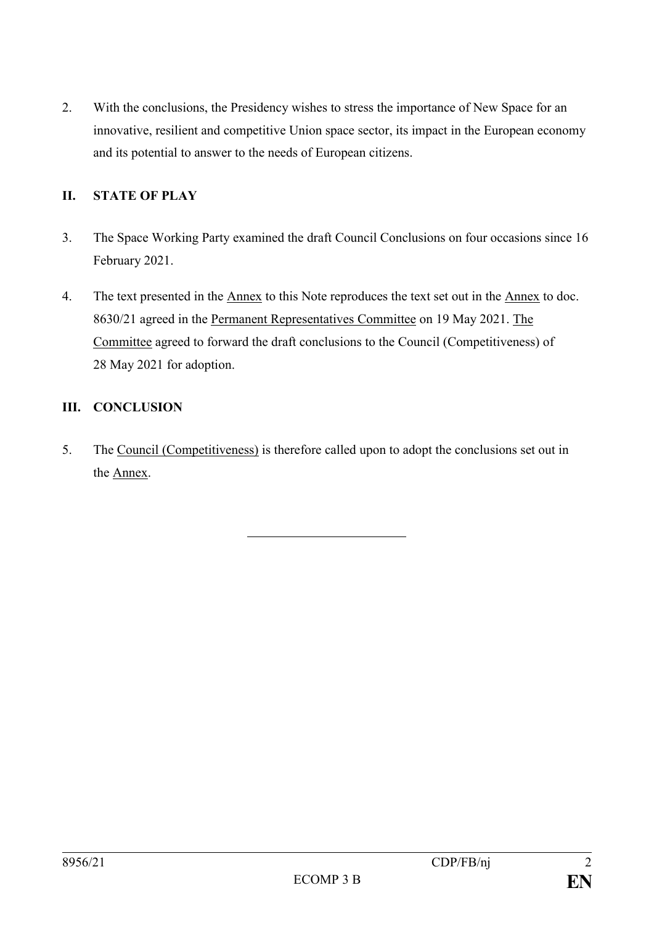2. With the conclusions, the Presidency wishes to stress the importance of New Space for an innovative, resilient and competitive Union space sector, its impact in the European economy and its potential to answer to the needs of European citizens.

## **II. STATE OF PLAY**

- 3. The Space Working Party examined the draft Council Conclusions on four occasions since 16 February 2021.
- 4. The text presented in the Annex to this Note reproduces the text set out in the Annex to doc. 8630/21 agreed in the Permanent Representatives Committee on 19 May 2021. The Committee agreed to forward the draft conclusions to the Council (Competitiveness) of 28 May 2021 for adoption.

### **III. CONCLUSION**

5. The Council (Competitiveness) is therefore called upon to adopt the conclusions set out in the Annex.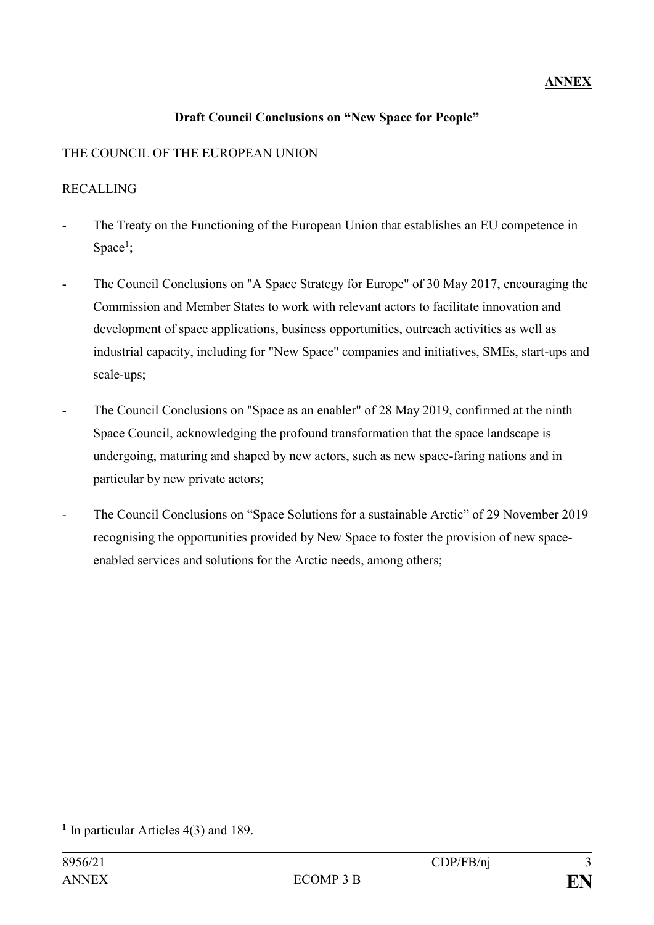## **ANNEX**

#### **Draft Council Conclusions on "New Space for People"**

## THE COUNCIL OF THE EUROPEAN UNION

#### RECALLING

- The Treaty on the Functioning of the European Union that establishes an EU competence in Space<sup>1</sup>;
- The Council Conclusions on "A Space Strategy for Europe" of 30 May 2017, encouraging the Commission and Member States to work with relevant actors to facilitate innovation and development of space applications, business opportunities, outreach activities as well as industrial capacity, including for "New Space" companies and initiatives, SMEs, start-ups and scale-ups;
- The Council Conclusions on "Space as an enabler" of 28 May 2019, confirmed at the ninth Space Council, acknowledging the profound transformation that the space landscape is undergoing, maturing and shaped by new actors, such as new space-faring nations and in particular by new private actors;
- The Council Conclusions on "Space Solutions for a sustainable Arctic" of 29 November 2019 recognising the opportunities provided by New Space to foster the provision of new spaceenabled services and solutions for the Arctic needs, among others;

1

**<sup>1</sup>** In particular Articles 4(3) and 189.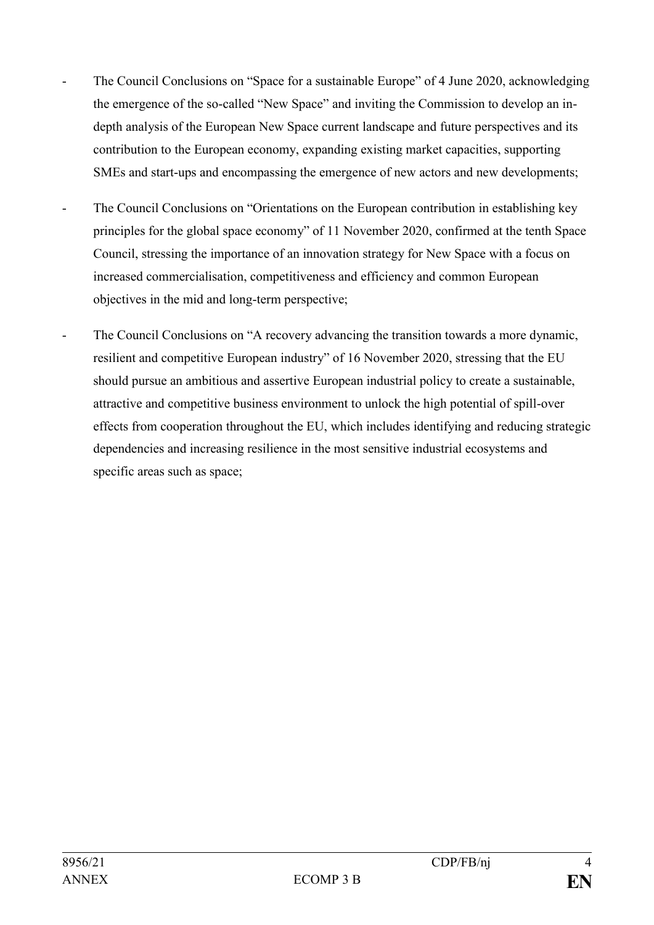- The Council Conclusions on "Space for a sustainable Europe" of 4 June 2020, acknowledging the emergence of the so-called "New Space" and inviting the Commission to develop an indepth analysis of the European New Space current landscape and future perspectives and its contribution to the European economy, expanding existing market capacities, supporting SMEs and start-ups and encompassing the emergence of new actors and new developments;
- The Council Conclusions on "Orientations on the European contribution in establishing key principles for the global space economy" of 11 November 2020, confirmed at the tenth Space Council, stressing the importance of an innovation strategy for New Space with a focus on increased commercialisation, competitiveness and efficiency and common European objectives in the mid and long-term perspective;
- The Council Conclusions on "A recovery advancing the transition towards a more dynamic, resilient and competitive European industry" of 16 November 2020, stressing that the EU should pursue an ambitious and assertive European industrial policy to create a sustainable, attractive and competitive business environment to unlock the high potential of spill-over effects from cooperation throughout the EU, which includes identifying and reducing strategic dependencies and increasing resilience in the most sensitive industrial ecosystems and specific areas such as space;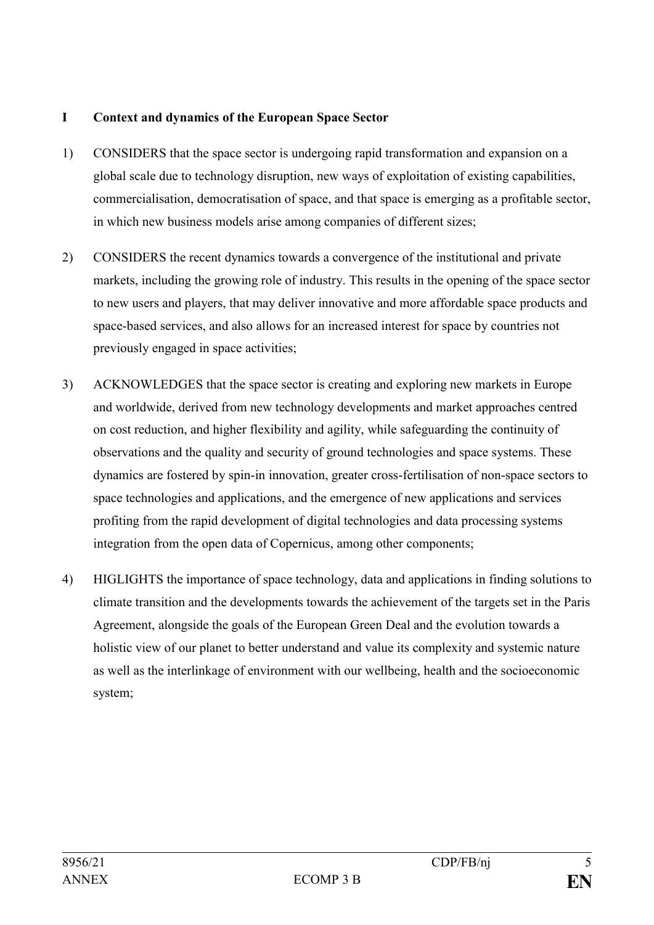#### **I Context and dynamics of the European Space Sector**

- 1) CONSIDERS that the space sector is undergoing rapid transformation and expansion on a global scale due to technology disruption, new ways of exploitation of existing capabilities, commercialisation, democratisation of space, and that space is emerging as a profitable sector, in which new business models arise among companies of different sizes;
- 2) CONSIDERS the recent dynamics towards a convergence of the institutional and private markets, including the growing role of industry. This results in the opening of the space sector to new users and players, that may deliver innovative and more affordable space products and space-based services, and also allows for an increased interest for space by countries not previously engaged in space activities;
- 3) ACKNOWLEDGES that the space sector is creating and exploring new markets in Europe and worldwide, derived from new technology developments and market approaches centred on cost reduction, and higher flexibility and agility, while safeguarding the continuity of observations and the quality and security of ground technologies and space systems. These dynamics are fostered by spin-in innovation, greater cross-fertilisation of non-space sectors to space technologies and applications, and the emergence of new applications and services profiting from the rapid development of digital technologies and data processing systems integration from the open data of Copernicus, among other components;
- 4) HIGLIGHTS the importance of space technology, data and applications in finding solutions to climate transition and the developments towards the achievement of the targets set in the Paris Agreement, alongside the goals of the European Green Deal and the evolution towards a holistic view of our planet to better understand and value its complexity and systemic nature as well as the interlinkage of environment with our wellbeing, health and the socioeconomic system;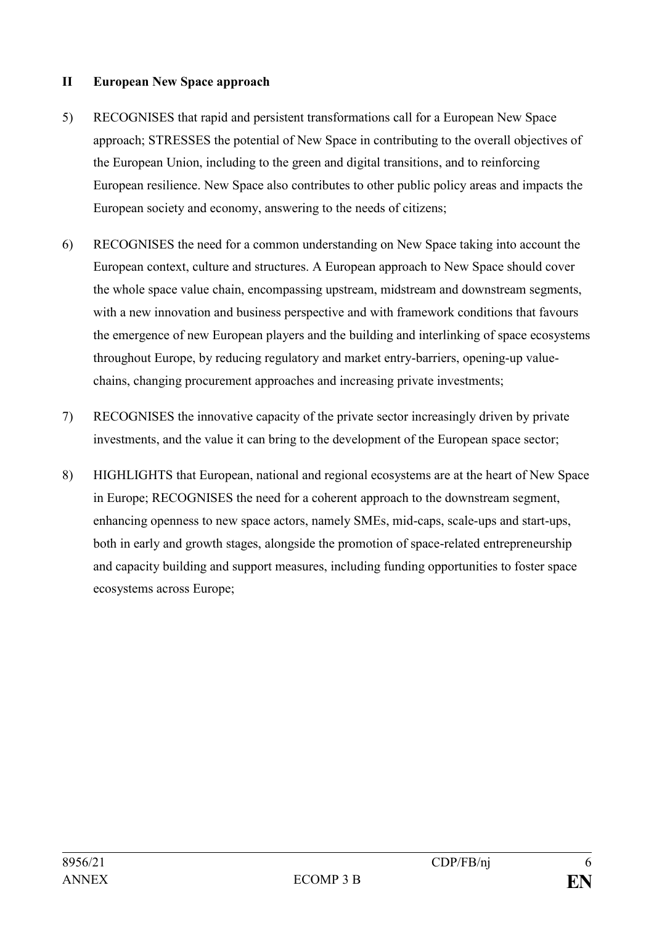#### **II European New Space approach**

- 5) RECOGNISES that rapid and persistent transformations call for a European New Space approach; STRESSES the potential of New Space in contributing to the overall objectives of the European Union, including to the green and digital transitions, and to reinforcing European resilience. New Space also contributes to other public policy areas and impacts the European society and economy, answering to the needs of citizens;
- 6) RECOGNISES the need for a common understanding on New Space taking into account the European context, culture and structures. A European approach to New Space should cover the whole space value chain, encompassing upstream, midstream and downstream segments, with a new innovation and business perspective and with framework conditions that favours the emergence of new European players and the building and interlinking of space ecosystems throughout Europe, by reducing regulatory and market entry-barriers, opening-up valuechains, changing procurement approaches and increasing private investments;
- 7) RECOGNISES the innovative capacity of the private sector increasingly driven by private investments, and the value it can bring to the development of the European space sector;
- 8) HIGHLIGHTS that European, national and regional ecosystems are at the heart of New Space in Europe; RECOGNISES the need for a coherent approach to the downstream segment, enhancing openness to new space actors, namely SMEs, mid-caps, scale-ups and start-ups, both in early and growth stages, alongside the promotion of space-related entrepreneurship and capacity building and support measures, including funding opportunities to foster space ecosystems across Europe;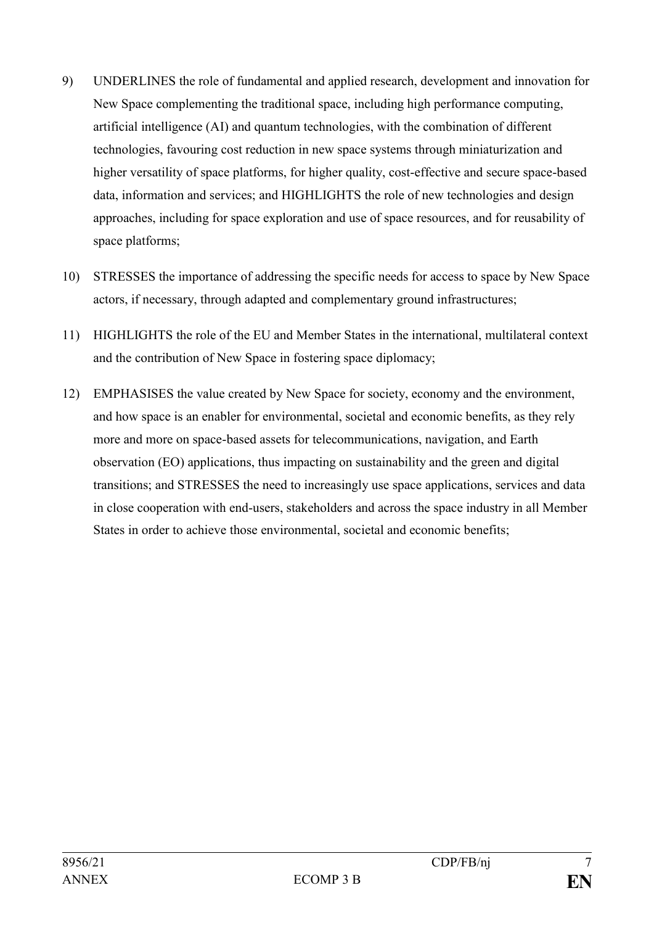- 9) UNDERLINES the role of fundamental and applied research, development and innovation for New Space complementing the traditional space, including high performance computing, artificial intelligence (AI) and quantum technologies, with the combination of different technologies, favouring cost reduction in new space systems through miniaturization and higher versatility of space platforms, for higher quality, cost-effective and secure space-based data, information and services; and HIGHLIGHTS the role of new technologies and design approaches, including for space exploration and use of space resources, and for reusability of space platforms;
- 10) STRESSES the importance of addressing the specific needs for access to space by New Space actors, if necessary, through adapted and complementary ground infrastructures;
- 11) HIGHLIGHTS the role of the EU and Member States in the international, multilateral context and the contribution of New Space in fostering space diplomacy;
- 12) EMPHASISES the value created by New Space for society, economy and the environment, and how space is an enabler for environmental, societal and economic benefits, as they rely more and more on space-based assets for telecommunications, navigation, and Earth observation (EO) applications, thus impacting on sustainability and the green and digital transitions; and STRESSES the need to increasingly use space applications, services and data in close cooperation with end-users, stakeholders and across the space industry in all Member States in order to achieve those environmental, societal and economic benefits;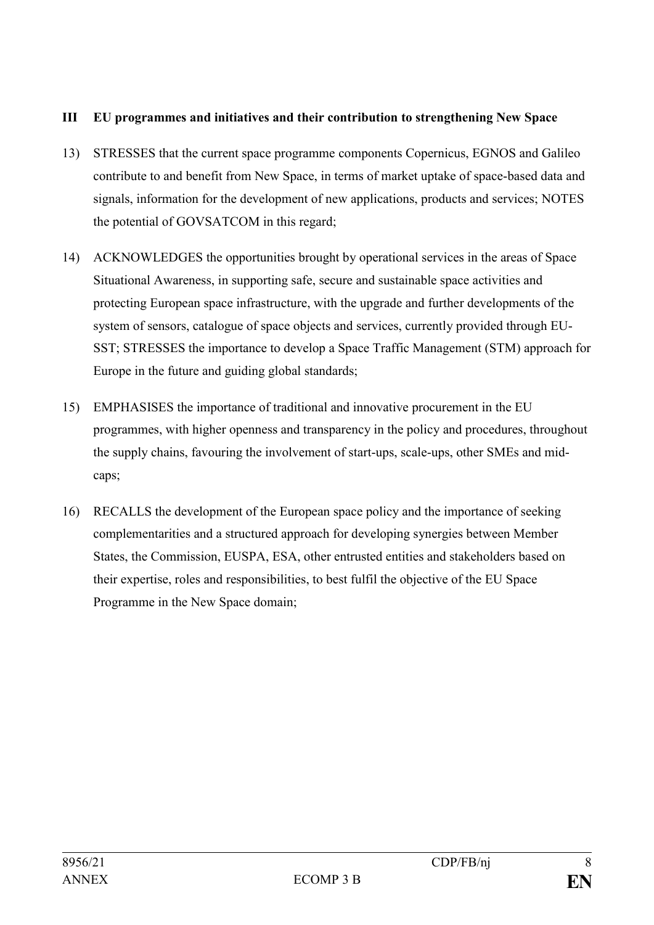#### **III EU programmes and initiatives and their contribution to strengthening New Space**

- 13) STRESSES that the current space programme components Copernicus, EGNOS and Galileo contribute to and benefit from New Space, in terms of market uptake of space-based data and signals, information for the development of new applications, products and services; NOTES the potential of GOVSATCOM in this regard;
- 14) ACKNOWLEDGES the opportunities brought by operational services in the areas of Space Situational Awareness, in supporting safe, secure and sustainable space activities and protecting European space infrastructure, with the upgrade and further developments of the system of sensors, catalogue of space objects and services, currently provided through EU-SST; STRESSES the importance to develop a Space Traffic Management (STM) approach for Europe in the future and guiding global standards;
- 15) EMPHASISES the importance of traditional and innovative procurement in the EU programmes, with higher openness and transparency in the policy and procedures, throughout the supply chains, favouring the involvement of start-ups, scale-ups, other SMEs and midcaps;
- 16) RECALLS the development of the European space policy and the importance of seeking complementarities and a structured approach for developing synergies between Member States, the Commission, EUSPA, ESA, other entrusted entities and stakeholders based on their expertise, roles and responsibilities, to best fulfil the objective of the EU Space Programme in the New Space domain;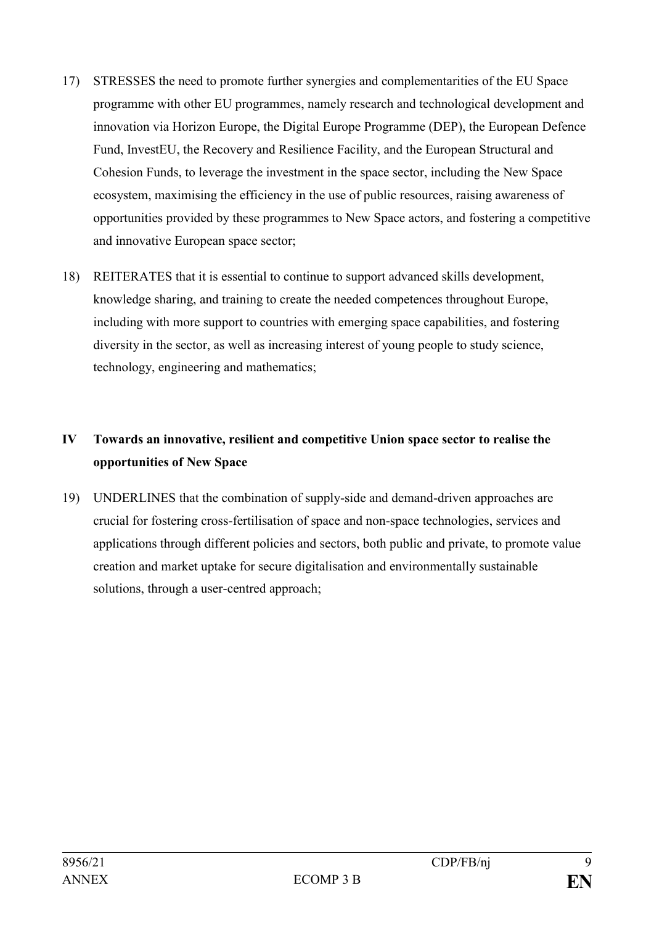- 17) STRESSES the need to promote further synergies and complementarities of the EU Space programme with other EU programmes, namely research and technological development and innovation via Horizon Europe, the Digital Europe Programme (DEP), the European Defence Fund, InvestEU, the Recovery and Resilience Facility, and the European Structural and Cohesion Funds, to leverage the investment in the space sector, including the New Space ecosystem, maximising the efficiency in the use of public resources, raising awareness of opportunities provided by these programmes to New Space actors, and fostering a competitive and innovative European space sector;
- 18) REITERATES that it is essential to continue to support advanced skills development, knowledge sharing, and training to create the needed competences throughout Europe, including with more support to countries with emerging space capabilities, and fostering diversity in the sector, as well as increasing interest of young people to study science, technology, engineering and mathematics;

# **IV Towards an innovative, resilient and competitive Union space sector to realise the opportunities of New Space**

19) UNDERLINES that the combination of supply-side and demand-driven approaches are crucial for fostering cross-fertilisation of space and non-space technologies, services and applications through different policies and sectors, both public and private, to promote value creation and market uptake for secure digitalisation and environmentally sustainable solutions, through a user-centred approach;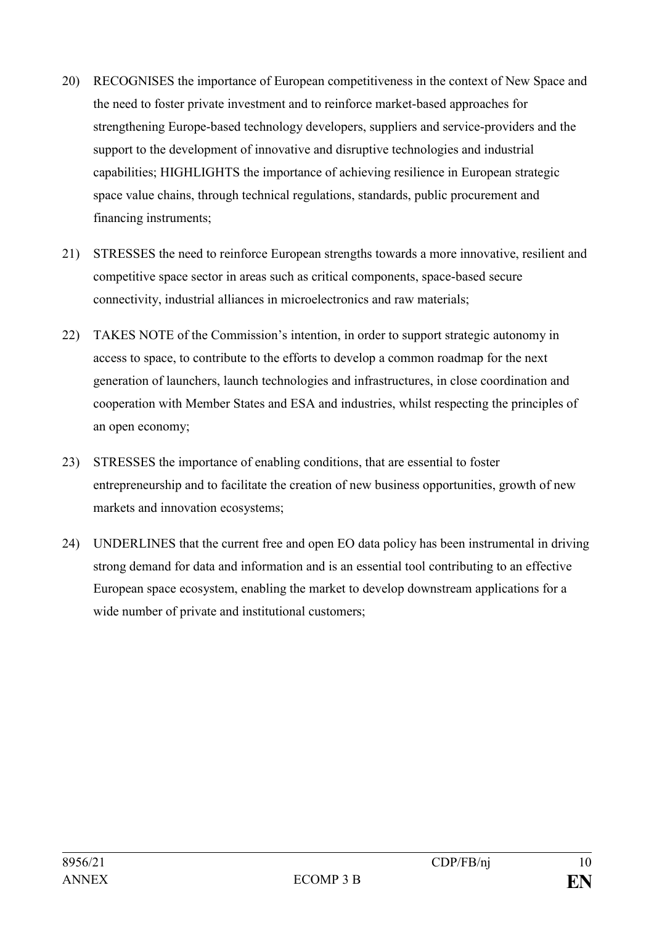- 20) RECOGNISES the importance of European competitiveness in the context of New Space and the need to foster private investment and to reinforce market-based approaches for strengthening Europe-based technology developers, suppliers and service-providers and the support to the development of innovative and disruptive technologies and industrial capabilities; HIGHLIGHTS the importance of achieving resilience in European strategic space value chains, through technical regulations, standards, public procurement and financing instruments;
- 21) STRESSES the need to reinforce European strengths towards a more innovative, resilient and competitive space sector in areas such as critical components, space-based secure connectivity, industrial alliances in microelectronics and raw materials;
- 22) TAKES NOTE of the Commission's intention, in order to support strategic autonomy in access to space, to contribute to the efforts to develop a common roadmap for the next generation of launchers, launch technologies and infrastructures, in close coordination and cooperation with Member States and ESA and industries, whilst respecting the principles of an open economy;
- 23) STRESSES the importance of enabling conditions, that are essential to foster entrepreneurship and to facilitate the creation of new business opportunities, growth of new markets and innovation ecosystems;
- 24) UNDERLINES that the current free and open EO data policy has been instrumental in driving strong demand for data and information and is an essential tool contributing to an effective European space ecosystem, enabling the market to develop downstream applications for a wide number of private and institutional customers;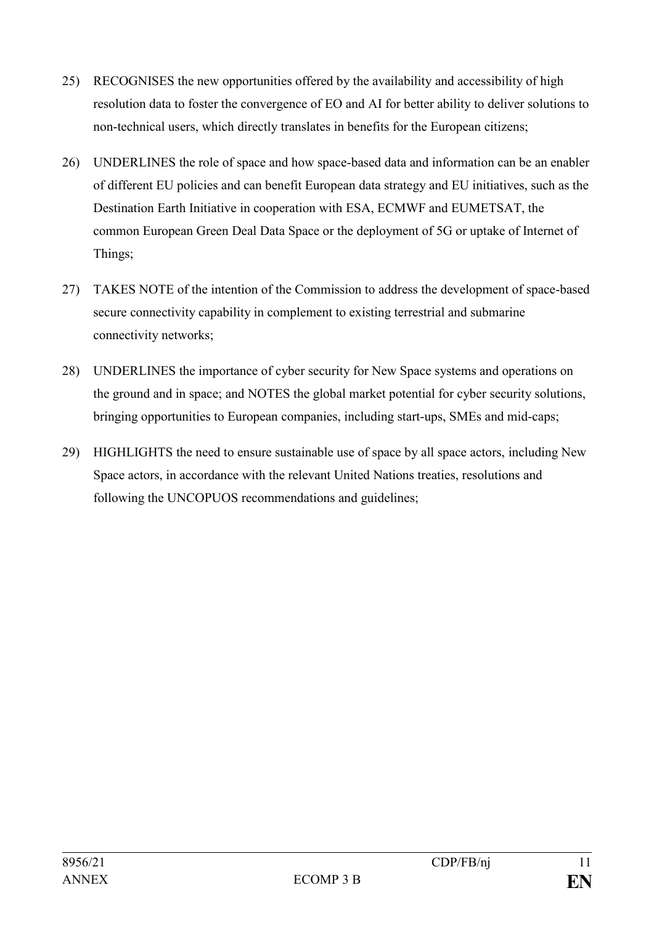- 25) RECOGNISES the new opportunities offered by the availability and accessibility of high resolution data to foster the convergence of EO and AI for better ability to deliver solutions to non-technical users, which directly translates in benefits for the European citizens;
- 26) UNDERLINES the role of space and how space-based data and information can be an enabler of different EU policies and can benefit European data strategy and EU initiatives, such as the Destination Earth Initiative in cooperation with ESA, ECMWF and EUMETSAT, the common European Green Deal Data Space or the deployment of 5G or uptake of Internet of Things;
- 27) TAKES NOTE of the intention of the Commission to address the development of space-based secure connectivity capability in complement to existing terrestrial and submarine connectivity networks;
- 28) UNDERLINES the importance of cyber security for New Space systems and operations on the ground and in space; and NOTES the global market potential for cyber security solutions, bringing opportunities to European companies, including start-ups, SMEs and mid-caps;
- 29) HIGHLIGHTS the need to ensure sustainable use of space by all space actors, including New Space actors, in accordance with the relevant United Nations treaties, resolutions and following the UNCOPUOS recommendations and guidelines;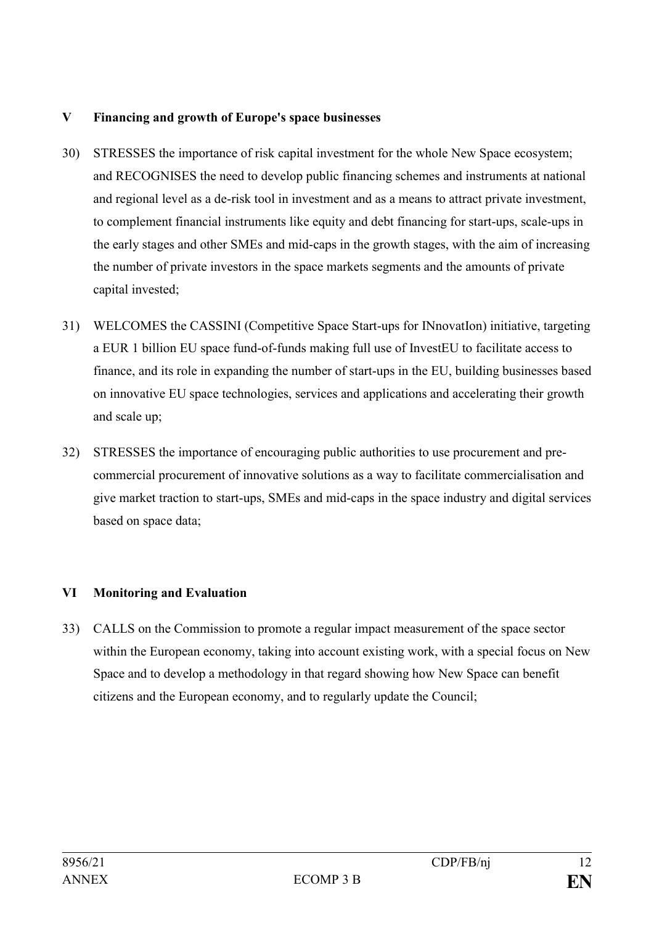#### **V Financing and growth of Europe's space businesses**

- 30) STRESSES the importance of risk capital investment for the whole New Space ecosystem; and RECOGNISES the need to develop public financing schemes and instruments at national and regional level as a de-risk tool in investment and as a means to attract private investment, to complement financial instruments like equity and debt financing for start-ups, scale-ups in the early stages and other SMEs and mid-caps in the growth stages, with the aim of increasing the number of private investors in the space markets segments and the amounts of private capital invested;
- 31) WELCOMES the CASSINI (Competitive Space Start-ups for INnovatIon) initiative, targeting a EUR 1 billion EU space fund-of-funds making full use of InvestEU to facilitate access to finance, and its role in expanding the number of start-ups in the EU, building businesses based on innovative EU space technologies, services and applications and accelerating their growth and scale up;
- 32) STRESSES the importance of encouraging public authorities to use procurement and precommercial procurement of innovative solutions as a way to facilitate commercialisation and give market traction to start-ups, SMEs and mid-caps in the space industry and digital services based on space data;

# **VI Monitoring and Evaluation**

33) CALLS on the Commission to promote a regular impact measurement of the space sector within the European economy, taking into account existing work, with a special focus on New Space and to develop a methodology in that regard showing how New Space can benefit citizens and the European economy, and to regularly update the Council;